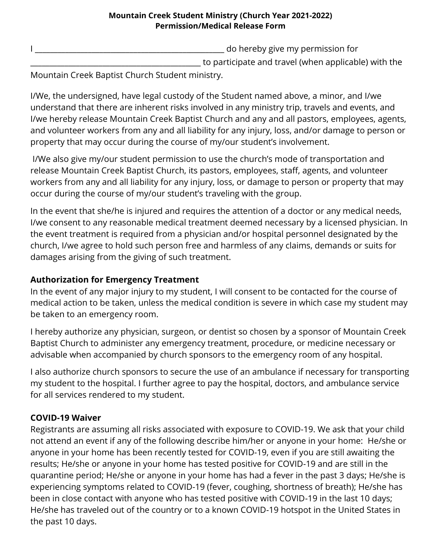## **Mountain Creek Student Ministry (Church Year 2021-2022) Permission/Medical Release Form**

I \_\_\_\_\_\_\_\_\_\_\_\_\_\_\_\_\_\_\_\_\_\_\_\_\_\_\_\_\_\_\_\_\_\_\_\_\_\_\_\_\_\_\_\_\_\_\_\_\_\_ do hereby give my permission for

to participate and travel (when applicable) with the

Mountain Creek Baptist Church Student ministry.

I/We, the undersigned, have legal custody of the Student named above, a minor, and I/we understand that there are inherent risks involved in any ministry trip, travels and events, and I/we hereby release Mountain Creek Baptist Church and any and all pastors, employees, agents, and volunteer workers from any and all liability for any injury, loss, and/or damage to person or property that may occur during the course of my/our student's involvement.

I/We also give my/our student permission to use the church's mode of transportation and release Mountain Creek Baptist Church, its pastors, employees, staff, agents, and volunteer workers from any and all liability for any injury, loss, or damage to person or property that may occur during the course of my/our student's traveling with the group.

In the event that she/he is injured and requires the attention of a doctor or any medical needs, I/we consent to any reasonable medical treatment deemed necessary by a licensed physician. In the event treatment is required from a physician and/or hospital personnel designated by the church, I/we agree to hold such person free and harmless of any claims, demands or suits for damages arising from the giving of such treatment.

## **Authorization for Emergency Treatment**

In the event of any major injury to my student, I will consent to be contacted for the course of medical action to be taken, unless the medical condition is severe in which case my student may be taken to an emergency room.

I hereby authorize any physician, surgeon, or dentist so chosen by a sponsor of Mountain Creek Baptist Church to administer any emergency treatment, procedure, or medicine necessary or advisable when accompanied by church sponsors to the emergency room of any hospital.

I also authorize church sponsors to secure the use of an ambulance if necessary for transporting my student to the hospital. I further agree to pay the hospital, doctors, and ambulance service for all services rendered to my student.

## **COVID-19 Waiver**

Registrants are assuming all risks associated with exposure to COVID-19. We ask that your child not attend an event if any of the following describe him/her or anyone in your home: He/she or anyone in your home has been recently tested for COVID-19, even if you are still awaiting the results; He/she or anyone in your home has tested positive for COVID-19 and are still in the quarantine period; He/she or anyone in your home has had a fever in the past 3 days; He/she is experiencing symptoms related to COVID-19 (fever, coughing, shortness of breath); He/she has been in close contact with anyone who has tested positive with COVID-19 in the last 10 days; He/she has traveled out of the country or to a known COVID-19 hotspot in the United States in the past 10 days.